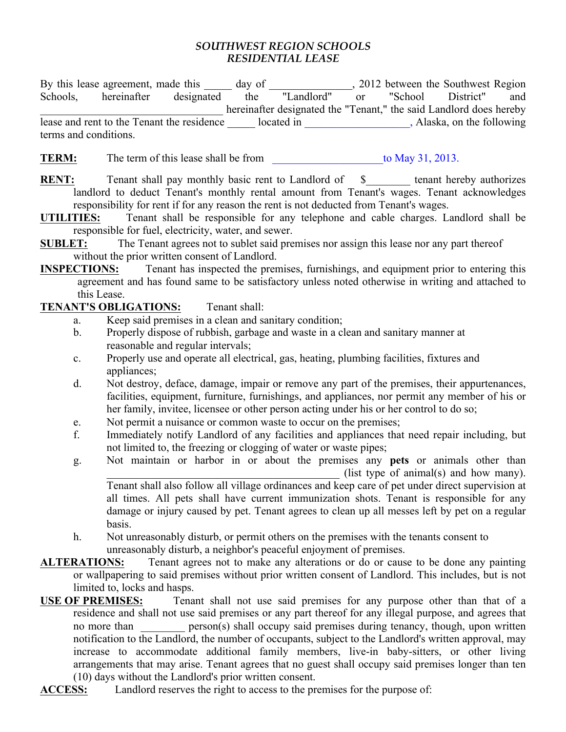## *SOUTHWEST REGION SCHOOLS RESIDENTIAL LEASE*

By this lease agreement, made this day of 2012 between the Southwest Region Schools, hereinafter designated the "Landlord" or "School District" and \_\_\_\_\_\_\_\_\_\_\_\_\_\_\_\_\_\_\_\_\_\_\_\_\_\_\_\_\_\_\_\_\_ hereinafter designated the "Tenant," the said Landlord does hereby lease and rent to the Tenant the residence \_\_\_\_\_\_ located in \_\_\_\_\_\_\_\_\_\_\_\_\_\_\_\_, Alaska, on the following terms and conditions.

**TERM:** The term of this lease shall be from to May 31, 2013.

- **RENT:** Tenant shall pay monthly basic rent to Landlord of \$\_\_\_\_\_\_\_\_ tenant hereby authorizes landlord to deduct Tenant's monthly rental amount from Tenant's wages. Tenant acknowledges responsibility for rent if for any reason the rent is not deducted from Tenant's wages.
- **UTILITIES:** Tenant shall be responsible for any telephone and cable charges. Landlord shall be responsible for fuel, electricity, water, and sewer.
- **SUBLET:** The Tenant agrees not to sublet said premises nor assign this lease nor any part thereof without the prior written consent of Landlord.
- **INSPECTIONS:** Tenant has inspected the premises, furnishings, and equipment prior to entering this agreement and has found same to be satisfactory unless noted otherwise in writing and attached to this Lease.

## **TENANT'S OBLIGATIONS:** Tenant shall:

- a. Keep said premises in a clean and sanitary condition;
- b. Properly dispose of rubbish, garbage and waste in a clean and sanitary manner at reasonable and regular intervals;
- c. Properly use and operate all electrical, gas, heating, plumbing facilities, fixtures and appliances;
- d. Not destroy, deface, damage, impair or remove any part of the premises, their appurtenances, facilities, equipment, furniture, furnishings, and appliances, nor permit any member of his or her family, invitee, licensee or other person acting under his or her control to do so;
- e. Not permit a nuisance or common waste to occur on the premises;
- f. Immediately notify Landlord of any facilities and appliances that need repair including, but not limited to, the freezing or clogging of water or waste pipes;
- g. Not maintain or harbor in or about the premises any **pets** or animals other than (list type of animal(s) and how many). Tenant shall also follow all village ordinances and keep care of pet under direct supervision at all times. All pets shall have current immunization shots. Tenant is responsible for any

damage or injury caused by pet. Tenant agrees to clean up all messes left by pet on a regular basis.

h. Not unreasonably disturb, or permit others on the premises with the tenants consent to unreasonably disturb, a neighbor's peaceful enjoyment of premises.

## **ALTERATIONS:** Tenant agrees not to make any alterations or do or cause to be done any painting or wallpapering to said premises without prior written consent of Landlord. This includes, but is not limited to, locks and hasps.

- **USE OF PREMISES:** Tenant shall not use said premises for any purpose other than that of a residence and shall not use said premises or any part thereof for any illegal purpose, and agrees that no more than \_\_\_\_\_\_\_\_ person(s) shall occupy said premises during tenancy, though, upon written notification to the Landlord, the number of occupants, subject to the Landlord's written approval, may increase to accommodate additional family members, live-in baby-sitters, or other living arrangements that may arise. Tenant agrees that no guest shall occupy said premises longer than ten (10) days without the Landlord's prior written consent.
- **ACCESS:** Landlord reserves the right to access to the premises for the purpose of: